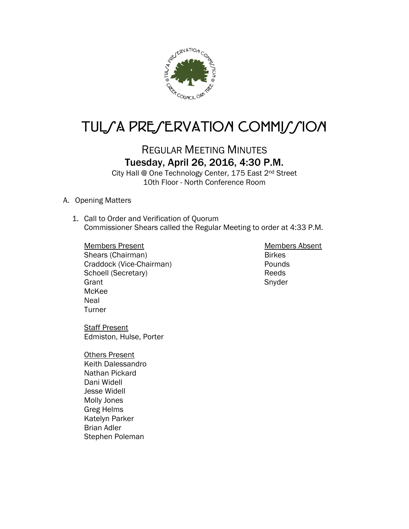

# TUL/A PRE/ERVATION COMMI//ION

## REGULAR MEETING MINUTES Tuesday, April 26, 2016, 4:30 P.M.

City Hall @ One Technology Center, 175 East 2nd Street 10th Floor - North Conference Room

- A. Opening Matters
	- 1. Call to Order and Verification of Quorum Commissioner Shears called the Regular Meeting to order at 4:33 P.M.

Members Present Members Absent Shears (Chairman) Birkes Craddock (Vice-Chairman)<br>
Schoell (Secretary) Schoell (Secretary) and Reeds Schoell (Secretary) Grant Snyder Snyder McKee **Neal** Turner

Staff Present Edmiston, Hulse, Porter

Others Present Keith Dalessandro Nathan Pickard Dani Widell Jesse Widell Molly Jones Greg Helms Katelyn Parker Brian Adler Stephen Poleman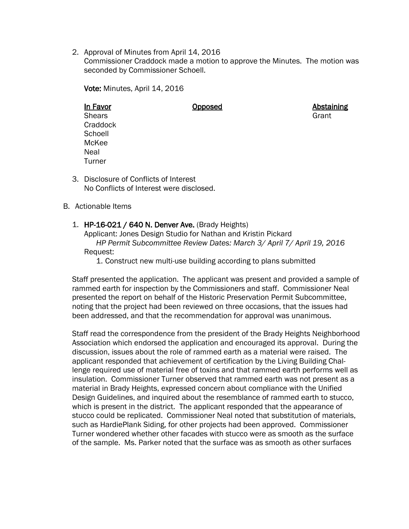2. Approval of Minutes from April 14, 2016

Commissioner Craddock made a motion to approve the Minutes. The motion was seconded by Commissioner Schoell.

Vote: Minutes, April 14, 2016

## In Favor **Opposed Consumers Consumers Abstaining**

- Shears Grant Contract of the Contract of the Contract of the Contract of the Contract of the Contract of the Contract of the Contract of the Contract of the Contract of the Contract of the Contract of the Contract of the C **Craddock Schoell** McKee Neal **Turner**
- 3. Disclosure of Conflicts of Interest No Conflicts of Interest were disclosed.

### B. Actionable Items

1. HP-16-021 / 640 N. Denver Ave. (Brady Heights) Applicant: Jones Design Studio for Nathan and Kristin Pickard

*HP Permit Subcommittee Review Dates: March 3/ April 7/ April 19, 2016* Request:

1. Construct new multi-use building according to plans submitted

Staff presented the application. The applicant was present and provided a sample of rammed earth for inspection by the Commissioners and staff. Commissioner Neal presented the report on behalf of the Historic Preservation Permit Subcommittee, noting that the project had been reviewed on three occasions, that the issues had been addressed, and that the recommendation for approval was unanimous.

Staff read the correspondence from the president of the Brady Heights Neighborhood Association which endorsed the application and encouraged its approval. During the discussion, issues about the role of rammed earth as a material were raised. The applicant responded that achievement of certification by the Living Building Challenge required use of material free of toxins and that rammed earth performs well as insulation. Commissioner Turner observed that rammed earth was not present as a material in Brady Heights, expressed concern about compliance with the Unified Design Guidelines, and inquired about the resemblance of rammed earth to stucco, which is present in the district. The applicant responded that the appearance of stucco could be replicated. Commissioner Neal noted that substitution of materials, such as HardiePlank Siding, for other projects had been approved. Commissioner Turner wondered whether other facades with stucco were as smooth as the surface of the sample. Ms. Parker noted that the surface was as smooth as other surfaces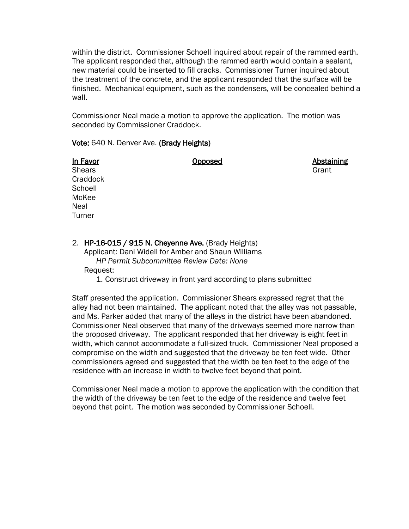within the district. Commissioner Schoell inquired about repair of the rammed earth. The applicant responded that, although the rammed earth would contain a sealant, new material could be inserted to fill cracks. Commissioner Turner inquired about the treatment of the concrete, and the applicant responded that the surface will be finished. Mechanical equipment, such as the condensers, will be concealed behind a wall.

Commissioner Neal made a motion to approve the application. The motion was seconded by Commissioner Craddock.

#### Vote: 640 N. Denver Ave. (Brady Heights)

In Favor **Opposed Consumersity** Opposed **Abstaining** 

Shears Grant Contract of the Contract of the Contract of the Contract of the Contract of the Contract of the Contract of the Contract of the Contract of the Contract of the Contract of the Contract of the Contract of the C **Craddock Schoell** McKee Neal **Turner** 

2. HP-16-015 / 915 N. Cheyenne Ave. (Brady Heights) Applicant: Dani Widell for Amber and Shaun Williams *HP Permit Subcommittee Review Date: None* Request:

1. Construct driveway in front yard according to plans submitted

Staff presented the application. Commissioner Shears expressed regret that the alley had not been maintained. The applicant noted that the alley was not passable, and Ms. Parker added that many of the alleys in the district have been abandoned. Commissioner Neal observed that many of the driveways seemed more narrow than the proposed driveway. The applicant responded that her driveway is eight feet in width, which cannot accommodate a full-sized truck. Commissioner Neal proposed a compromise on the width and suggested that the driveway be ten feet wide. Other commissioners agreed and suggested that the width be ten feet to the edge of the residence with an increase in width to twelve feet beyond that point.

Commissioner Neal made a motion to approve the application with the condition that the width of the driveway be ten feet to the edge of the residence and twelve feet beyond that point. The motion was seconded by Commissioner Schoell.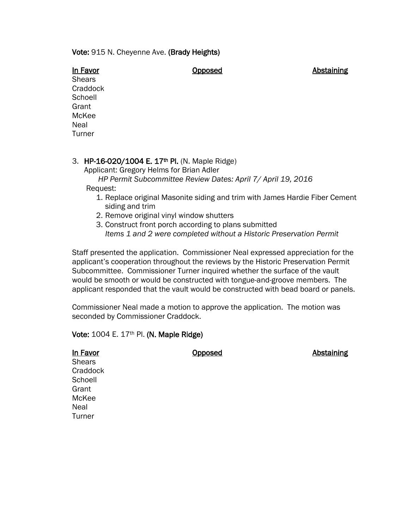#### Vote: 915 N. Cheyenne Ave. (Brady Heights)

In Favor **Consumersity** Consumers Consumers Consumers Consumers Abstaining

**Shears Craddock Schoell** Grant McKee Neal Turner

### 3. HP-16-020/1004 E. 17<sup>th</sup> Pl. (N. Maple Ridge)

Applicant: Gregory Helms for Brian Adler

#### *HP Permit Subcommittee Review Dates: April 7/ April 19, 2016* Request:

- 1. Replace original Masonite siding and trim with James Hardie Fiber Cement siding and trim
- 2. Remove original vinyl window shutters
- 3. Construct front porch according to plans submitted *Items 1 and 2 were completed without a Historic Preservation Permit*

Staff presented the application. Commissioner Neal expressed appreciation for the applicant's cooperation throughout the reviews by the Historic Preservation Permit Subcommittee. Commissioner Turner inquired whether the surface of the vault would be smooth or would be constructed with tongue-and-groove members. The applicant responded that the vault would be constructed with bead board or panels.

Commissioner Neal made a motion to approve the application. The motion was seconded by Commissioner Craddock.

Vote: 1004 E. 17th Pl. (N. Maple Ridge)

| In Favor |
|----------|
| Shears   |
| Craddock |
| Schoell  |
| Grant    |
| McKee    |
| Neal     |
| Turner   |

**Opposed Abstaining**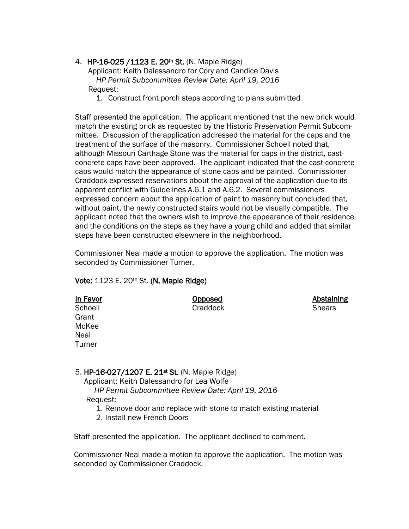### 4. HP-16-025 /1123 E. 20<sup>th</sup> St. (N. Maple Ridge)

 Applicant: Keith Dalessandro for Cory and Candice Davis *HP Permit Subcommittee Review Date: April 19, 2016* Request:

1. Construct front porch steps according to plans submitted

Staff presented the application. The applicant mentioned that the new brick would match the existing brick as requested by the Historic Preservation Permit Subcommittee. Discussion of the application addressed the material for the caps and the treatment of the surface of the masonry. Commissioner Schoell noted that, although Missouri Carthage Stone was the material for caps in the district, castconcrete caps have been approved. The applicant indicated that the cast-concrete caps would match the appearance of stone caps and be painted. Commissioner Craddock expressed reservations about the approval of the application due to its apparent conflict with Guidelines A.6.1 and A.6.2. Several commissioners expressed concern about the application of paint to masonry but concluded that, without paint, the newly constructed stairs would not be visually compatible. The applicant noted that the owners wish to improve the appearance of their residence and the conditions on the steps as they have a young child and added that similar steps have been constructed elsewhere in the neighborhood.

Commissioner Neal made a motion to approve the application. The motion was seconded by Commissioner Turner.

Abstaining

### Vote: 1123 E. 20<sup>th</sup> St. (N. Maple Ridge)

| In Favor | Opposed  | Abstair       |
|----------|----------|---------------|
| Schoell  | Craddock | <b>Shears</b> |
| Grant    |          |               |
| McKee    |          |               |
| Neal     |          |               |
| Turner   |          |               |

### 5. HP-16-027/1207 E. 21st St. (N. Maple Ridge)

Applicant: Keith Dalessandro for Lea Wolfe

*HP Permit Subcommittee Review Date: April 19, 2016*

- Request:
	- 1. Remove door and replace with stone to match existing material
	- 2. Install new French Doors

Staff presented the application. The applicant declined to comment.

Commissioner Neal made a motion to approve the application. The motion was seconded by Commissioner Craddock.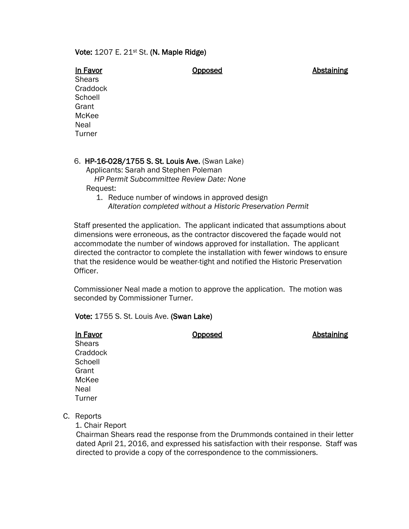#### Vote: 1207 E. 21st St. (N. Maple Ridge)

In Favor **Consumersity** Composed **Consumersity** Consumersity Abstaining

**Shears Craddock Schoell Grant** McKee Neal Turner

#### 6. HP-16-028/1755 S. St. Louis Ave. (Swan Lake)

 Applicants: Sarah and Stephen Poleman *HP Permit Subcommittee Review Date: None* Request:

1. Reduce number of windows in approved design *Alteration completed without a Historic Preservation Permit*

Staff presented the application. The applicant indicated that assumptions about dimensions were erroneous, as the contractor discovered the façade would not accommodate the number of windows approved for installation. The applicant directed the contractor to complete the installation with fewer windows to ensure that the residence would be weather-tight and notified the Historic Preservation Officer.

Commissioner Neal made a motion to approve the application. The motion was seconded by Commissioner Turner.

Vote: 1755 S. St. Louis Ave. (Swan Lake)

In Favor **Constanting Constanting** Copposed **Abstaining** 

**Shears Craddock Schoell Grant** McKee Neal **Turner** 

C. Reports

1. Chair Report

 Chairman Shears read the response from the Drummonds contained in their letter dated April 21, 2016, and expressed his satisfaction with their response. Staff was directed to provide a copy of the correspondence to the commissioners.